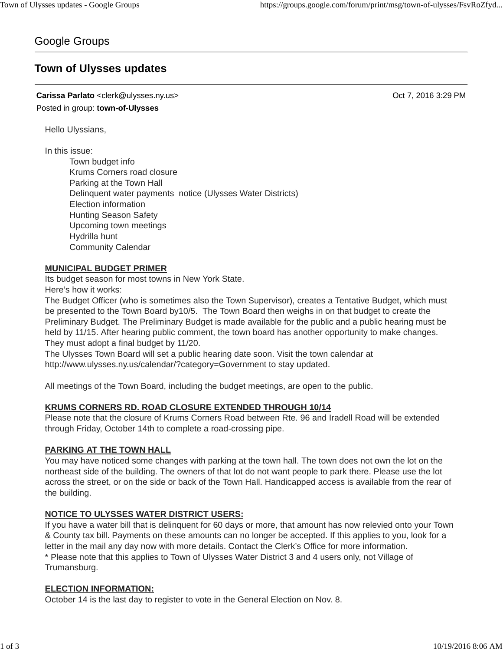## Google Groups

# **Town of Ulysses updates**

**Carissa Parlato** <clerk@ulysses.ny.us> Oct 7, 2016 3:29 PM Posted in group: **town-of-Ulysses**

Hello Ulyssians,

In this issue:

Town budget info Krums Corners road closure Parking at the Town Hall Delinquent water payments notice (Ulysses Water Districts) Election information Hunting Season Safety Upcoming town meetings Hydrilla hunt Community Calendar

#### **MUNICIPAL BUDGET PRIMER**

Its budget season for most towns in New York State. Here's how it works:

The Budget Officer (who is sometimes also the Town Supervisor), creates a Tentative Budget, which must be presented to the Town Board by10/5. The Town Board then weighs in on that budget to create the Preliminary Budget. The Preliminary Budget is made available for the public and a public hearing must be held by 11/15. After hearing public comment, the town board has another opportunity to make changes. They must adopt a final budget by 11/20.

The Ulysses Town Board will set a public hearing date soon. Visit the town calendar at http://www.ulysses.ny.us/calendar/?category=Government to stay updated.

All meetings of the Town Board, including the budget meetings, are open to the public.

## **KRUMS CORNERS RD. ROAD CLOSURE EXTENDED THROUGH 10/14**

Please note that the closure of Krums Corners Road between Rte. 96 and Iradell Road will be extended through Friday, October 14th to complete a road-crossing pipe.

## **PARKING AT THE TOWN HALL**

You may have noticed some changes with parking at the town hall. The town does not own the lot on the northeast side of the building. The owners of that lot do not want people to park there. Please use the lot across the street, or on the side or back of the Town Hall. Handicapped access is available from the rear of the building.

## **NOTICE TO ULYSSES WATER DISTRICT USERS:**

If you have a water bill that is delinquent for 60 days or more, that amount has now relevied onto your Town & County tax bill. Payments on these amounts can no longer be accepted. If this applies to you, look for a letter in the mail any day now with more details. Contact the Clerk's Office for more information. \* Please note that this applies to Town of Ulysses Water District 3 and 4 users only, not Village of Trumansburg.

#### **ELECTION INFORMATION:**

October 14 is the last day to register to vote in the General Election on Nov. 8.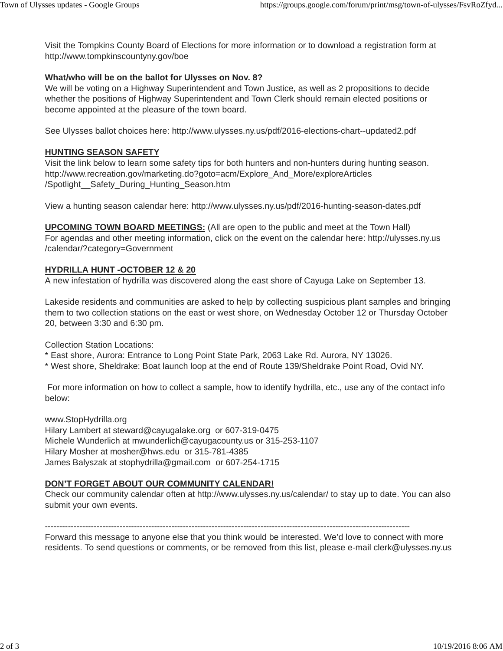Visit the Tompkins County Board of Elections for more information or to download a registration form at http://www.tompkinscountyny.gov/boe

## **What/who will be on the ballot for Ulysses on Nov. 8?**

We will be voting on a Highway Superintendent and Town Justice, as well as 2 propositions to decide whether the positions of Highway Superintendent and Town Clerk should remain elected positions or become appointed at the pleasure of the town board.

See Ulysses ballot choices here: http://www.ulysses.ny.us/pdf/2016-elections-chart--updated2.pdf

## **HUNTING SEASON SAFETY**

Visit the link below to learn some safety tips for both hunters and non-hunters during hunting season. http://www.recreation.gov/marketing.do?goto=acm/Explore\_And\_More/exploreArticles /Spotlight\_\_Safety\_During\_Hunting\_Season.htm

View a hunting season calendar here: http://www.ulysses.ny.us/pdf/2016-hunting-season-dates.pdf

**UPCOMING TOWN BOARD MEETINGS:** (All are open to the public and meet at the Town Hall) For agendas and other meeting information, click on the event on the calendar here: http://ulysses.ny.us /calendar/?category=Government

## **HYDRILLA HUNT -OCTOBER 12 & 20**

A new infestation of hydrilla was discovered along the east shore of Cayuga Lake on September 13.

Lakeside residents and communities are asked to help by collecting suspicious plant samples and bringing them to two collection stations on the east or west shore, on Wednesday October 12 or Thursday October 20, between 3:30 and 6:30 pm.

Collection Station Locations:

\* East shore, Aurora: Entrance to Long Point State Park, 2063 Lake Rd. Aurora, NY 13026.

\* West shore, Sheldrake: Boat launch loop at the end of Route 139/Sheldrake Point Road, Ovid NY.

For more information on how to collect a sample, how to identify hydrilla, etc., use any of the contact info below:

www.StopHydrilla.org Hilary Lambert at steward@cayugalake.org or 607-319-0475

Michele Wunderlich at mwunderlich@cayugacounty.us or 315-253-1107 Hilary Mosher at mosher@hws.edu or 315-781-4385 James Balyszak at stophydrilla@gmail.com or 607-254-1715

## **DON'T FORGET ABOUT OUR COMMUNITY CALENDAR!**

Check our community calendar often at http://www.ulysses.ny.us/calendar/ to stay up to date. You can also submit your own events.

-------------------------------------------------------------------------------------------------------------------------------

Forward this message to anyone else that you think would be interested. We'd love to connect with more residents. To send questions or comments, or be removed from this list, please e-mail clerk@ulysses.ny.us